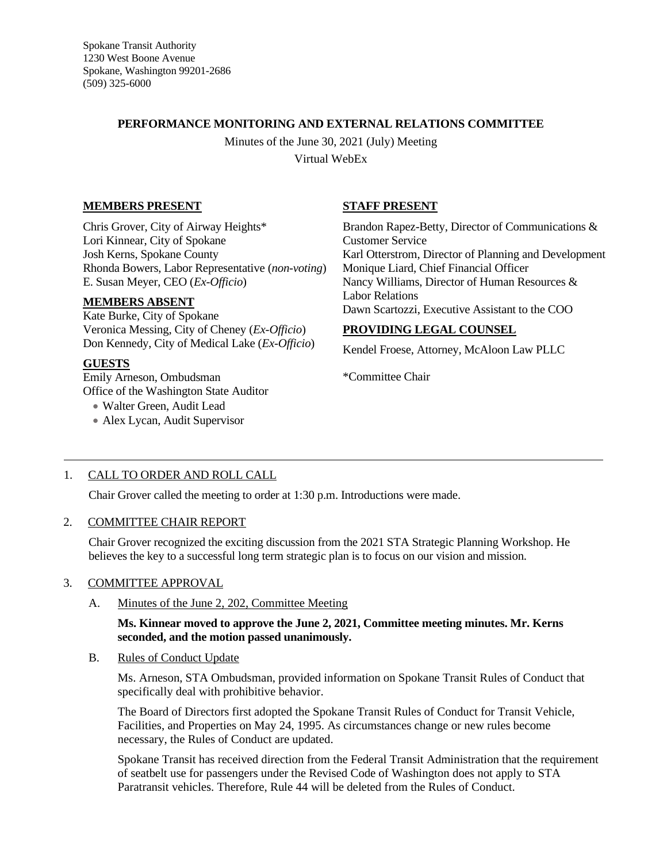Spokane Transit Authority 1230 West Boone Avenue Spokane, Washington 99201-2686 (509) 325-6000

### **PERFORMANCE MONITORING AND EXTERNAL RELATIONS COMMITTEE**

Minutes of the June 30, 2021 (July) Meeting Virtual WebEx

# **MEMBERS PRESENT**

Chris Grover, City of Airway Heights\* Lori Kinnear, City of Spokane Josh Kerns, Spokane County Rhonda Bowers, Labor Representative (*non-voting*) E. Susan Meyer, CEO (*Ex-Officio*)

### **MEMBERS ABSENT**

Kate Burke, City of Spokane Veronica Messing, City of Cheney (*Ex-Officio*) Don Kennedy, City of Medical Lake (*Ex-Officio*)

# **GUESTS**

Emily Arneson, Ombudsman Office of the Washington State Auditor

- Walter Green, Audit Lead
- Alex Lycan, Audit Supervisor

# **STAFF PRESENT**

Brandon Rapez-Betty, Director of Communications & Customer Service Karl Otterstrom, Director of Planning and Development Monique Liard, Chief Financial Officer Nancy Williams, Director of Human Resources & Labor Relations Dawn Scartozzi, Executive Assistant to the COO

# **PROVIDING LEGAL COUNSEL**

Kendel Froese, Attorney, McAloon Law PLLC

\*Committee Chair

## 1. CALL TO ORDER AND ROLL CALL

Chair Grover called the meeting to order at 1:30 p.m. Introductions were made.

## 2. COMMITTEE CHAIR REPORT

Chair Grover recognized the exciting discussion from the 2021 STA Strategic Planning Workshop. He believes the key to a successful long term strategic plan is to focus on our vision and mission.

## 3. COMMITTEE APPROVAL

A. Minutes of the June 2, 202, Committee Meeting

### **Ms. Kinnear moved to approve the June 2, 2021, Committee meeting minutes. Mr. Kerns seconded, and the motion passed unanimously.**

B. Rules of Conduct Update

Ms. Arneson, STA Ombudsman, provided information on Spokane Transit Rules of Conduct that specifically deal with prohibitive behavior.

The Board of Directors first adopted the Spokane Transit Rules of Conduct for Transit Vehicle, Facilities, and Properties on May 24, 1995. As circumstances change or new rules become necessary, the Rules of Conduct are updated.

Spokane Transit has received direction from the Federal Transit Administration that the requirement of seatbelt use for passengers under the Revised Code of Washington does not apply to STA Paratransit vehicles. Therefore, Rule 44 will be deleted from the Rules of Conduct.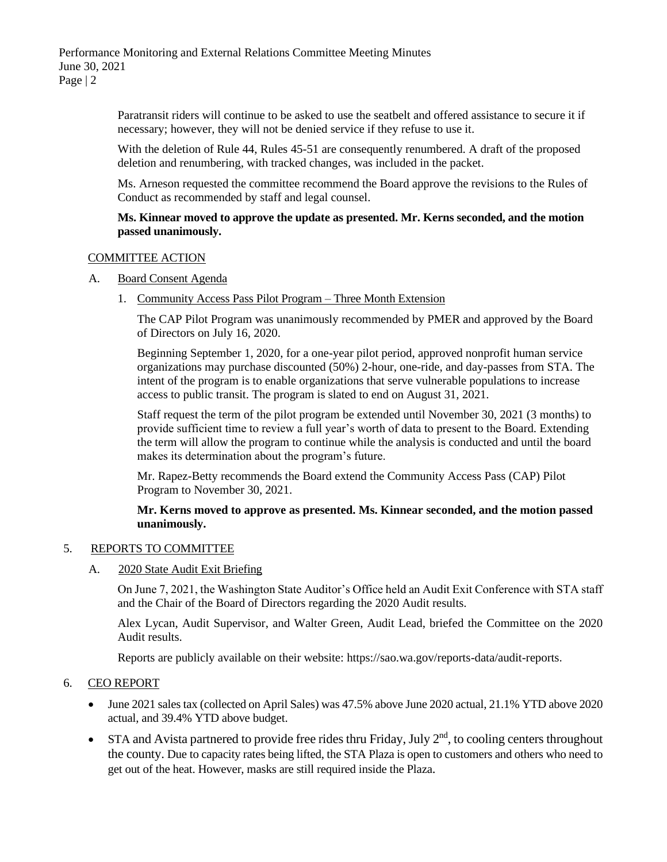Paratransit riders will continue to be asked to use the seatbelt and offered assistance to secure it if necessary; however, they will not be denied service if they refuse to use it.

With the deletion of Rule 44, Rules 45-51 are consequently renumbered. A draft of the proposed deletion and renumbering, with tracked changes, was included in the packet.

Ms. Arneson requested the committee recommend the Board approve the revisions to the Rules of Conduct as recommended by staff and legal counsel.

#### **Ms. Kinnear moved to approve the update as presented. Mr. Kerns seconded, and the motion passed unanimously.**

#### COMMITTEE ACTION

- A. Board Consent Agenda
	- 1. Community Access Pass Pilot Program Three Month Extension

The CAP Pilot Program was unanimously recommended by PMER and approved by the Board of Directors on July 16, 2020.

Beginning September 1, 2020, for a one-year pilot period, approved nonprofit human service organizations may purchase discounted (50%) 2-hour, one-ride, and day-passes from STA. The intent of the program is to enable organizations that serve vulnerable populations to increase access to public transit. The program is slated to end on August 31, 2021.

Staff request the term of the pilot program be extended until November 30, 2021 (3 months) to provide sufficient time to review a full year's worth of data to present to the Board. Extending the term will allow the program to continue while the analysis is conducted and until the board makes its determination about the program's future.

Mr. Rapez-Betty recommends the Board extend the Community Access Pass (CAP) Pilot Program to November 30, 2021.

**Mr. Kerns moved to approve as presented. Ms. Kinnear seconded, and the motion passed unanimously.**

#### 5. REPORTS TO COMMITTEE

A. 2020 State Audit Exit Briefing

On June 7, 2021, the Washington State Auditor's Office held an Audit Exit Conference with STA staff and the Chair of the Board of Directors regarding the 2020 Audit results.

Alex Lycan, Audit Supervisor, and Walter Green, Audit Lead, briefed the Committee on the 2020 Audit results.

Reports are publicly available on their website: https://sao.wa.gov/reports-data/audit-reports.

#### 6. CEO REPORT

- June 2021 sales tax (collected on April Sales) was 47.5% above June 2020 actual, 21.1% YTD above 2020 actual, and 39.4% YTD above budget.
- STA and Avista partnered to provide free rides thru Friday, July  $2<sup>nd</sup>$ , to cooling centers throughout the county. Due to capacity rates being lifted, the STA Plaza is open to customers and others who need to get out of the heat. However, masks are still required inside the Plaza.